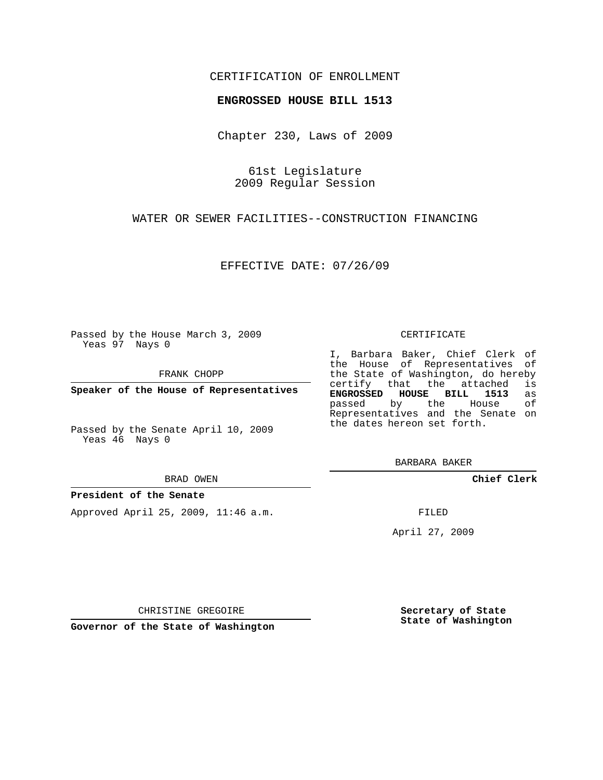## CERTIFICATION OF ENROLLMENT

## **ENGROSSED HOUSE BILL 1513**

Chapter 230, Laws of 2009

61st Legislature 2009 Regular Session

WATER OR SEWER FACILITIES--CONSTRUCTION FINANCING

EFFECTIVE DATE: 07/26/09

Passed by the House March 3, 2009 Yeas 97 Nays 0

FRANK CHOPP

**Speaker of the House of Representatives**

Passed by the Senate April 10, 2009 Yeas 46 Nays 0

#### BRAD OWEN

### **President of the Senate**

Approved April 25, 2009, 11:46 a.m.

#### CERTIFICATE

I, Barbara Baker, Chief Clerk of the House of Representatives of the State of Washington, do hereby<br>certify that the attached is certify that the attached **ENGROSSED HOUSE BILL 1513** as passed by the House Representatives and the Senate on the dates hereon set forth.

BARBARA BAKER

**Chief Clerk**

FILED

April 27, 2009

**Secretary of State State of Washington**

CHRISTINE GREGOIRE

**Governor of the State of Washington**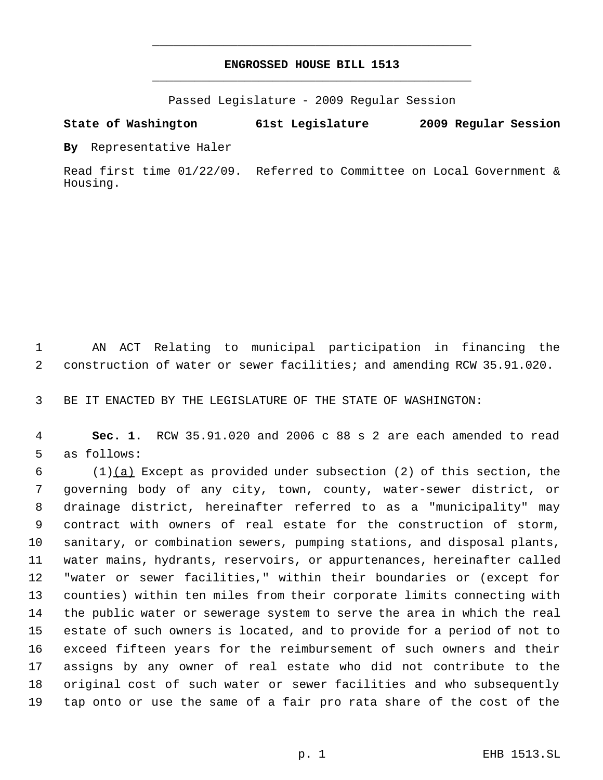# **ENGROSSED HOUSE BILL 1513** \_\_\_\_\_\_\_\_\_\_\_\_\_\_\_\_\_\_\_\_\_\_\_\_\_\_\_\_\_\_\_\_\_\_\_\_\_\_\_\_\_\_\_\_\_

\_\_\_\_\_\_\_\_\_\_\_\_\_\_\_\_\_\_\_\_\_\_\_\_\_\_\_\_\_\_\_\_\_\_\_\_\_\_\_\_\_\_\_\_\_

Passed Legislature - 2009 Regular Session

# **State of Washington 61st Legislature 2009 Regular Session**

**By** Representative Haler

Read first time 01/22/09. Referred to Committee on Local Government & Housing.

 AN ACT Relating to municipal participation in financing the construction of water or sewer facilities; and amending RCW 35.91.020.

BE IT ENACTED BY THE LEGISLATURE OF THE STATE OF WASHINGTON:

 **Sec. 1.** RCW 35.91.020 and 2006 c 88 s 2 are each amended to read as follows:

 (1)(a) Except as provided under subsection (2) of this section, the governing body of any city, town, county, water-sewer district, or drainage district, hereinafter referred to as a "municipality" may contract with owners of real estate for the construction of storm, sanitary, or combination sewers, pumping stations, and disposal plants, water mains, hydrants, reservoirs, or appurtenances, hereinafter called "water or sewer facilities," within their boundaries or (except for counties) within ten miles from their corporate limits connecting with the public water or sewerage system to serve the area in which the real estate of such owners is located, and to provide for a period of not to exceed fifteen years for the reimbursement of such owners and their assigns by any owner of real estate who did not contribute to the original cost of such water or sewer facilities and who subsequently tap onto or use the same of a fair pro rata share of the cost of the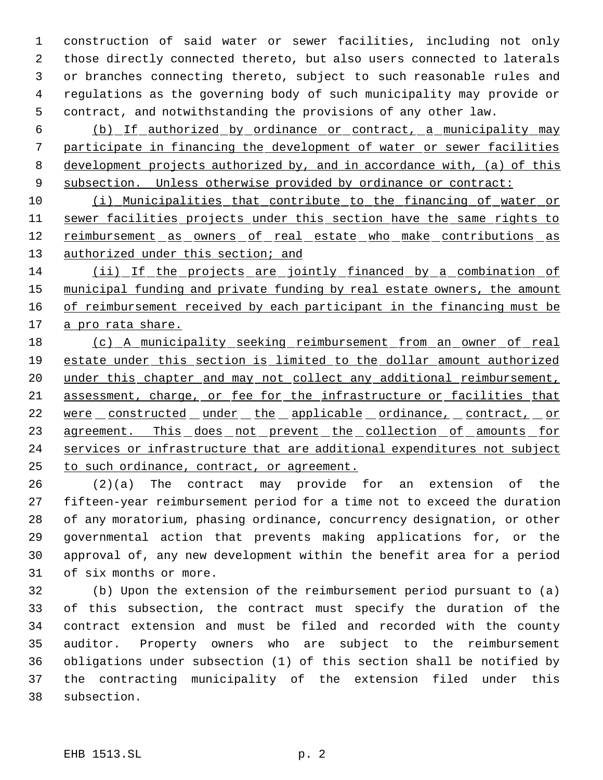construction of said water or sewer facilities, including not only those directly connected thereto, but also users connected to laterals or branches connecting thereto, subject to such reasonable rules and regulations as the governing body of such municipality may provide or contract, and notwithstanding the provisions of any other law.

 (b) If authorized by ordinance or contract, a municipality may participate in financing the development of water or sewer facilities development projects authorized by, and in accordance with, (a) of this 9 subsection. Unless otherwise provided by ordinance or contract:

 (i) Municipalities that contribute to the financing of water or 11 sewer facilities projects under this section have the same rights to 12 reimbursement as owners of real estate who make contributions as 13 authorized under this section; and

 (ii) If the projects are jointly financed by a combination of 15 municipal funding and private funding by real estate owners, the amount 16 of reimbursement received by each participant in the financing must be a pro rata share.

 (c) A municipality seeking reimbursement from an owner of real estate under this section is limited to the dollar amount authorized 20 under this chapter and may not collect any additional reimbursement, 21 assessment, charge, or fee for the infrastructure or facilities that 22 were constructed under the applicable ordinance, contract, or 23 agreement. This does not prevent the collection of amounts for services or infrastructure that are additional expenditures not subject to such ordinance, contract, or agreement.

 (2)(a) The contract may provide for an extension of the fifteen-year reimbursement period for a time not to exceed the duration of any moratorium, phasing ordinance, concurrency designation, or other governmental action that prevents making applications for, or the approval of, any new development within the benefit area for a period of six months or more.

 (b) Upon the extension of the reimbursement period pursuant to (a) of this subsection, the contract must specify the duration of the contract extension and must be filed and recorded with the county auditor. Property owners who are subject to the reimbursement obligations under subsection (1) of this section shall be notified by the contracting municipality of the extension filed under this subsection.